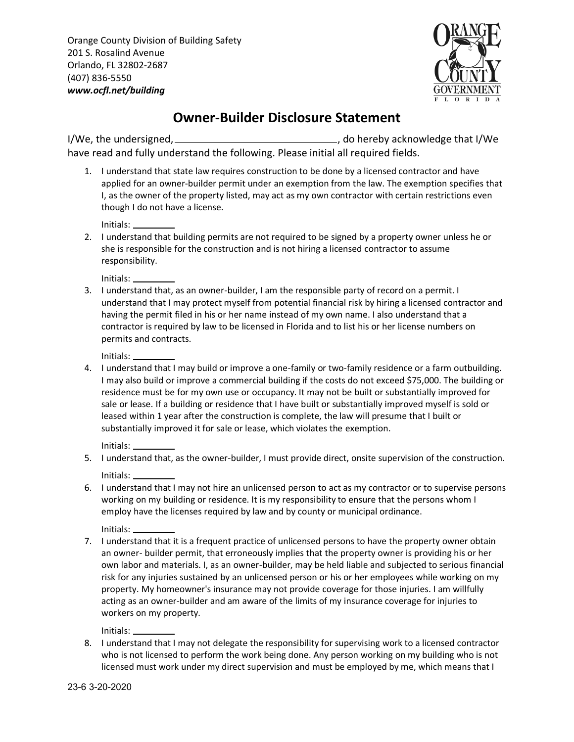Orange County Division of Building Safety 201 S. Rosalind Avenue Orlando, FL 32802-2687 (407) 836-5550 *<www.ocfl.net/building>*



## **Owner-Builder Disclosure Statement**

I/We, the undersigned, , do hereby acknowledge that I/We have read and fully understand the following. Please initial all required fields.

1. I understand that state law requires construction to be done by a licensed contractor and have applied for an owner-builder permit under an exemption from the law. The exemption specifies that I, as the owner of the property listed, may act as my own contractor with certain restrictions even though I do not have a license.

Initials:

2. I understand that building permits are not required to be signed by a property owner unless he or she is responsible for the construction and is not hiring a licensed contractor to assume responsibility.

Initials:

3. I understand that, as an owner-builder, I am the responsible party of record on a permit. I understand that I may protect myself from potential financial risk by hiring a licensed contractor and having the permit filed in his or her name instead of my own name. I also understand that a contractor is required by law to be licensed in Florida and to list his or her license numbers on permits and contracts.

Initials:

4. I understand that I may build or improve a one-family or two-family residence or a farm outbuilding. I may also build or improve a commercial building if the costs do not exceed \$75,000. The building or residence must be for my own use or occupancy. It may not be built or substantially improved for sale or lease. If a building or residence that I have built or substantially improved myself is sold or leased within 1 year after the construction is complete, the law will presume that I built or substantially improved it for sale or lease, which violates the exemption.

Initials:

- 5. I understand that, as the owner-builder, I must provide direct, onsite supervision of the construction. Initials:
- 6. I understand that I may not hire an unlicensed person to act as my contractor or to supervise persons working on my building or residence. It is my responsibility to ensure that the persons whom I employ have the licenses required by law and by county or municipal ordinance.

Initials:

7. I understand that it is a frequent practice of unlicensed persons to have the property owner obtain an owner- builder permit, that erroneously implies that the property owner is providing his or her own labor and materials. I, as an owner-builder, may be held liable and subjected to serious financial risk for any injuries sustained by an unlicensed person or his or her employees while working on my property. My homeowner's insurance may not provide coverage for those injuries. I am willfully acting as an owner-builder and am aware of the limits of my insurance coverage for injuries to workers on my property.

Initials:

8. I understand that I may not delegate the responsibility for supervising work to a licensed contractor who is not licensed to perform the work being done. Any person working on my building who is not licensed must work under my direct supervision and must be employed by me, which means that I